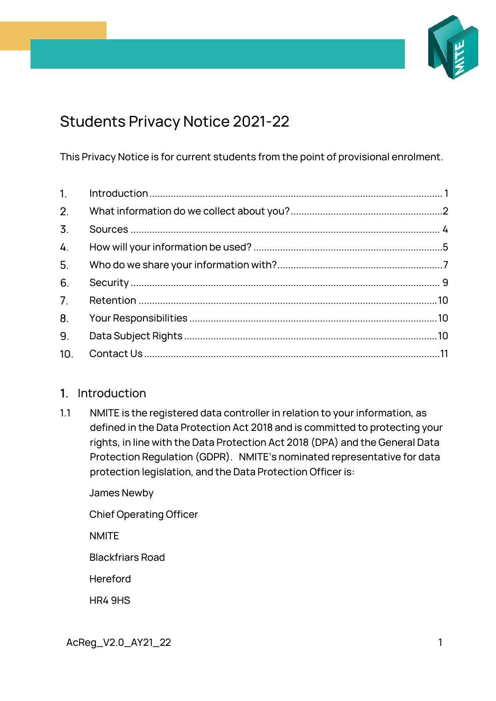

# Students Privacy Notice 2021-22

This Privacy Notice is for current students from the point of provisional enrolment.

| 2.               |  |
|------------------|--|
| $\overline{3}$ . |  |
| 4.               |  |
| 5 <sub>1</sub>   |  |
| 6.               |  |
| 7.               |  |
| 8.               |  |
| 9.               |  |
| 10 <sub>1</sub>  |  |

# <span id="page-0-0"></span>1. Introduction

1.1 NMITE is the registered data controller in relation to your information, as defined in the Data Protection Act 2018 and is committed to protecting your rights, in line with the Data Protection Act 2018 (DPA) and the General Data Protection Regulation (GDPR). NMITE's nominated representative for data protection legislation, and the Data Protection Officer is:

James Newby

Chief Operating Officer

**NMITF** 

Blackfriars Road

**Hereford** 

HR4 9HS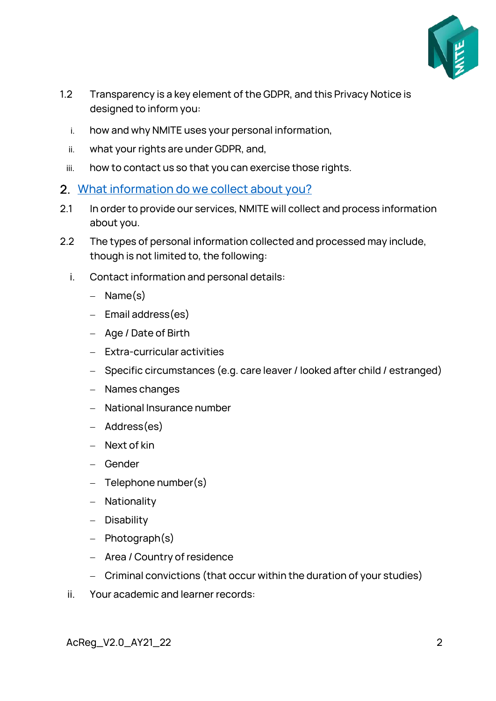

- 1.2 Transparency is a key element of the GDPR, and this Privacy Notice is designed to inform you:
	- i. how and why NMITE uses your personal information,
	- ii. what your rights are under GDPR, and,
	- iii. how to contact us so that you can exercise those rights.
- <span id="page-1-0"></span>2. [What information do we collect about you?](https://www.shu.ac.uk/about-this-website/privacy-policy/privacy-notices/privacy-notice-for-student-applicants)
- 2.1 In order to provide our services, NMITE will collect and process information about you.
- 2.2 The types of personal information collected and processed may include, though is not limited to, the following:
	- i. Contact information and personal details:
		- − Name(s)
		- − Email address(es)
		- − Age / Date of Birth
		- − Extra-curricular activities
		- − Specific circumstances (e.g. care leaver / looked after child / estranged)
		- − Names changes
		- − National Insurance number
		- − Address(es)
		- − Next of kin
		- − Gender
		- − Telephone number(s)
		- − Nationality
		- − Disability
		- − Photograph(s)
		- − Area / Country of residence
		- − Criminal convictions (that occur within the duration of your studies)
	- ii. Your academic and learner records: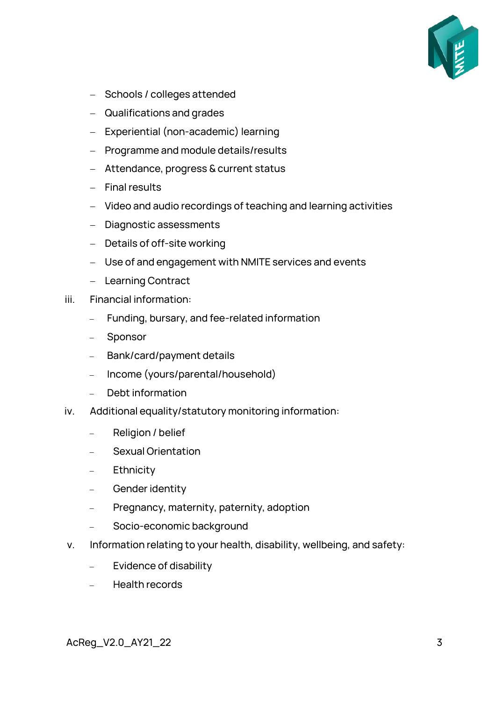

- − Schools / colleges attended
- − Qualifications and grades
- − Experiential (non-academic) learning
- − Programme and module details/results
- − Attendance, progress & current status
- − Final results
- − Video and audio recordings of teaching and learning activities
- − Diagnostic assessments
- − Details of off-site working
- − Use of and engagement with NMITE services and events
- − Learning Contract
- iii. Financial information:
	- − Funding, bursary, and fee-related information
	- − Sponsor
	- − Bank/card/payment details
	- − Income (yours/parental/household)
	- − Debt information
- iv. Additional equality/statutory monitoring information:
	- − Religion / belief
	- − Sexual Orientation
	- − Ethnicity
	- − Gender identity
	- − Pregnancy, maternity, paternity, adoption
	- − Socio-economic background
- v. Information relating to your health, disability, wellbeing, and safety:
	- − Evidence of disability
	- − Health records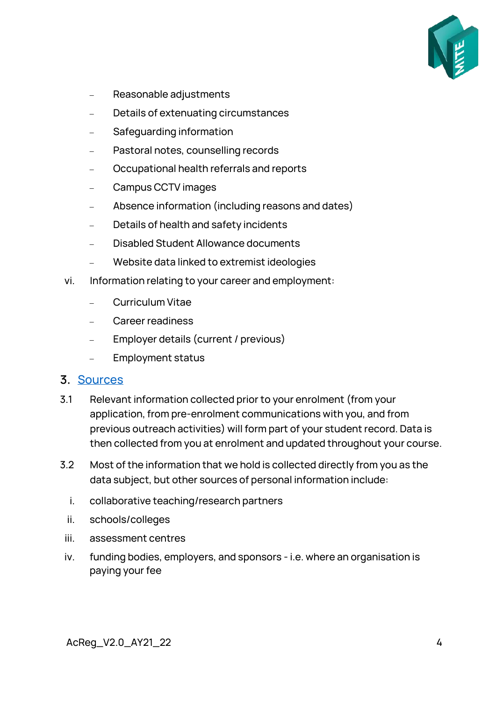

- − Reasonable adjustments
- − Details of extenuating circumstances
- − Safeguarding information
- − Pastoral notes, counselling records
- − Occupational health referrals and reports
- − Campus CCTV images
- − Absence information (including reasons and dates)
- − Details of health and safety incidents
- − Disabled Student Allowance documents
- − Website data linked to extremist ideologies
- vi. Information relating to your career and employment:
	- − Curriculum Vitae
	- − Career readiness
	- Employer details (current / previous)
	- − Employment status

#### <span id="page-3-0"></span>3. [Sources](https://www.shu.ac.uk/about-this-website/privacy-policy/privacy-notices/privacy-notice-for-student-applicants)

- 3.1 Relevant information collected prior to your enrolment (from your application, from pre-enrolment communications with you, and from previous outreach activities) will form part of your student record. Data is then collected from you at enrolment and updated throughout your course.
- 3.2 Most of the information that we hold is collected directly from you as the data subject, but other sources of personal information include:
	- i. collaborative teaching/research partners
	- ii. schools/colleges
	- iii. assessment centres
- iv. funding bodies, employers, and sponsors i.e. where an organisation is paying your fee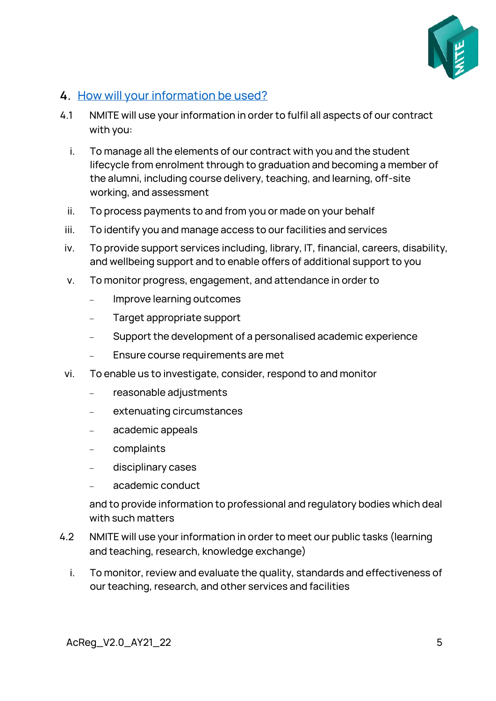

### <span id="page-4-0"></span>4. [How will your information be used?](https://www.shu.ac.uk/about-this-website/privacy-policy/privacy-notices/privacy-notice-for-student-applicants)

- 4.1 NMITE will use your information in order to fulfil all aspects of our contract with you:
	- i. To manage all the elements of our contract with you and the student lifecycle from enrolment through to graduation and becoming a member of the alumni, including course delivery, teaching, and learning, off-site working, and assessment
	- ii. To process payments to and from you or made on your behalf
	- iii. To identify you and manage access to our facilities and services
	- iv. To provide support services including, library, IT, financial, careers, disability, and wellbeing support and to enable offers of additional support to you
	- v. To monitor progress, engagement, and attendance in order to
		- − Improve learning outcomes
		- Target appropriate support
		- Support the development of a personalised academic experience
		- Ensure course requirements are met
- vi. To enable us to investigate, consider, respond to and monitor
	- − reasonable adjustments
	- − extenuating circumstances
	- − academic appeals
	- − complaints
	- − disciplinary cases
	- − academic conduct

and to provide information to professional and regulatory bodies which deal with such matters

- 4.2 NMITE will use your information in order to meet our public tasks (learning and teaching, research, knowledge exchange)
	- i. To monitor, review and evaluate the quality, standards and effectiveness of our teaching, research, and other services and facilities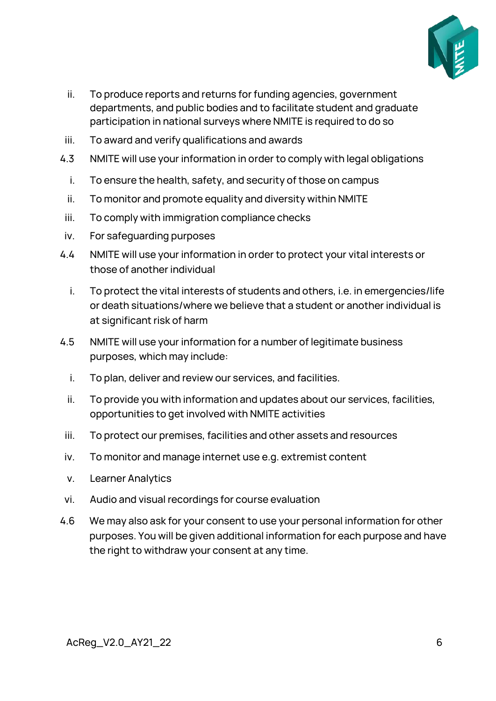

- ii. To produce reports and returns for funding agencies, government departments, and public bodies and to facilitate student and graduate participation in national surveys where NMITE is required to do so
- iii. To award and verify qualifications and awards
- 4.3 NMITE will use your information in order to comply with legal obligations
	- i. To ensure the health, safety, and security of those on campus
	- ii. To monitor and promote equality and diversity within NMITE
- iii. To comply with immigration compliance checks
- iv. For safeguarding purposes
- 4.4 NMITE will use your information in order to protect your vital interests or those of another individual
	- i. To protect the vital interests of students and others, i.e. in emergencies/life or death situations/where we believe that a student or another individual is at significant risk of harm
- 4.5 NMITE will use your information for a number of legitimate business purposes, which may include:
	- i. To plan, deliver and review our services, and facilities.
	- ii. To provide you with information and updates about our services, facilities, opportunities to get involved with NMITE activities
	- iii. To protect our premises, facilities and other assets and resources
- iv. To monitor and manage internet use e.g. extremist content
- v. Learner Analytics
- vi. Audio and visual recordings for course evaluation
- 4.6 We may also ask for your consent to use your personal information for other purposes. You will be given additional information for each purpose and have the right to withdraw your consent at any time.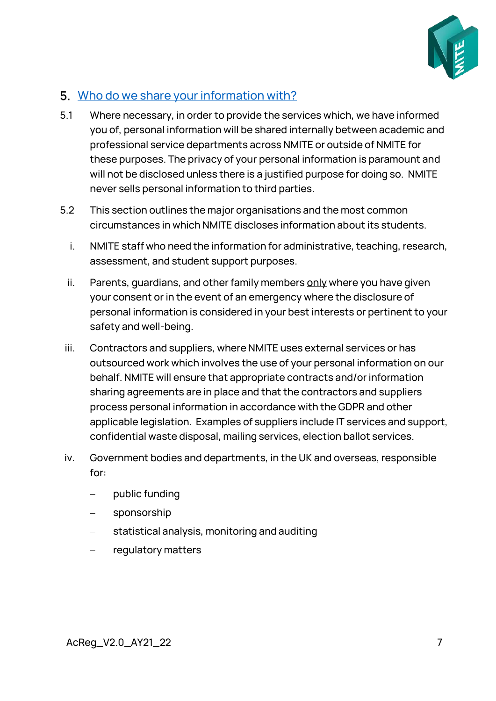

#### <span id="page-6-0"></span>5. [Who do we share your information with?](https://www.shu.ac.uk/about-this-website/privacy-policy/privacy-notices/privacy-notice-for-student-applicants)

- 5.1 Where necessary, in order to provide the services which, we have informed you of, personal information will be shared internally between academic and professional service departments across NMITE or outside of NMITE for these purposes. The privacy of your personal information is paramount and will not be disclosed unless there is a justified purpose for doing so. NMITE never sells personal information to third parties.
- 5.2 This section outlines the major organisations and the most common circumstances in which NMITE discloses information about its students.
	- i. NMITE staff who need the information for administrative, teaching, research, assessment, and student support purposes.
	- ii. Parents, quardians, and other family members  $only$  where you have given</u> your consent or in the event of an emergency where the disclosure of personal information is considered in your best interests or pertinent to your safety and well-being.
	- iii. Contractors and suppliers, where NMITE uses external services or has outsourced work which involves the use of your personal information on our behalf. NMITE will ensure that appropriate contracts and/or information sharing agreements are in place and that the contractors and suppliers process personal information in accordance with the GDPR and other applicable legislation. Examples of suppliers include IT services and support, confidential waste disposal, mailing services, election ballot services.
- iv. Government bodies and departments, in the UK and overseas, responsible for:
	- public funding
	- sponsorship
	- statistical analysis, monitoring and auditing
	- − regulatory matters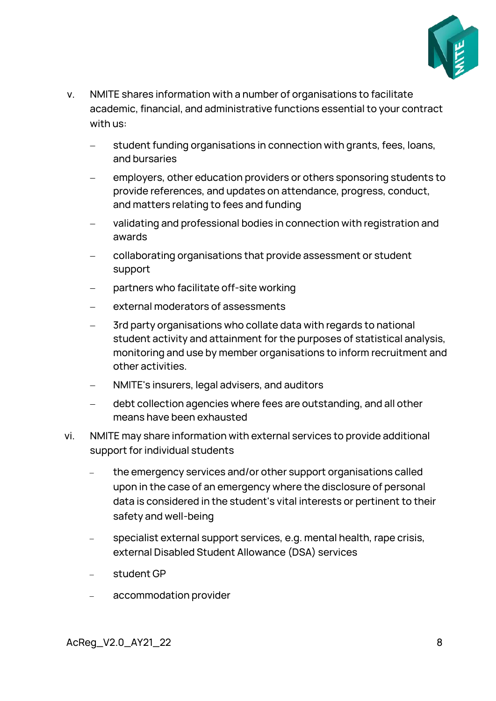

- v. NMITE shares information with a number of organisations to facilitate academic, financial, and administrative functions essential to your contract with us:
	- student funding organisations in connection with grants, fees, loans, and bursaries
	- employers, other education providers or others sponsoring students to provide references, and updates on attendance, progress, conduct, and matters relating to fees and funding
	- validating and professional bodies in connection with registration and awards
	- collaborating organisations that provide assessment or student support
	- partners who facilitate off-site working
	- external moderators of assessments
	- 3rd party organisations who collate data with regards to national student activity and attainment for the purposes of statistical analysis, monitoring and use by member organisations to inform recruitment and other activities.
	- − NMITE's insurers, legal advisers, and auditors
	- debt collection agencies where fees are outstanding, and all other means have been exhausted
- vi. NMITE may share information with external services to provide additional support for individual students
	- the emergency services and/or other support organisations called upon in the case of an emergency where the disclosure of personal data is considered in the student's vital interests or pertinent to their safety and well-being
	- specialist external support services, e.g. mental health, rape crisis, external Disabled Student Allowance (DSA) services
	- − student GP
	- − accommodation provider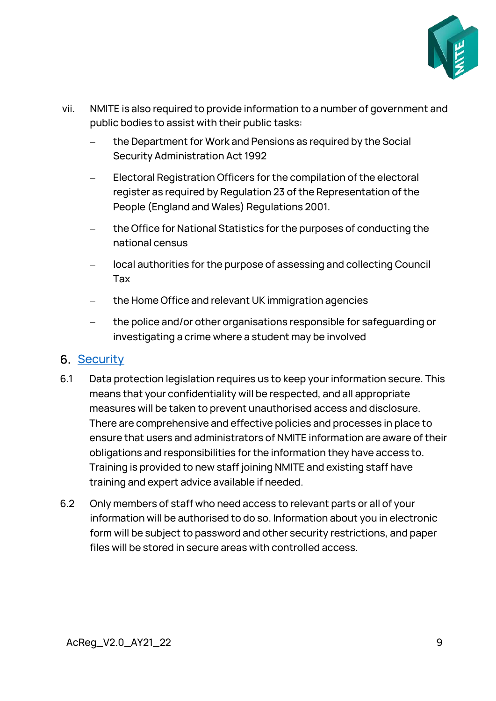

- vii. NMITE is also required to provide information to a number of government and public bodies to assist with their public tasks:
	- the Department for Work and Pensions as required by the Social Security Administration Act 1992
	- Electoral Registration Officers for the compilation of the electoral register as required by Regulation 23 of the Representation of the People (England and Wales) Regulations 2001.
	- the Office for National Statistics for the purposes of conducting the national census
	- − local authorities for the purpose of assessing and collecting Council Tax
	- the Home Office and relevant UK immigration agencies
	- − the police and/or other organisations responsible for safeguarding or investigating a crime where a student may be involved

### <span id="page-8-0"></span>**6. [Security](https://www.shu.ac.uk/about-this-website/privacy-policy/privacy-notices/privacy-notice-for-student-applicants)**

- 6.1 Data protection legislation requires us to keep your information secure. This means that your confidentiality will be respected, and all appropriate measures will be taken to prevent unauthorised access and disclosure. There are comprehensive and effective policies and processes in place to ensure that users and administrators of NMITE information are aware of their obligations and responsibilities for the information they have access to. Training is provided to new staff joining NMITE and existing staff have training and expert advice available if needed.
- 6.2 Only members of staff who need access to relevant parts or all of your information will be authorised to do so. Information about you in electronic form will be subject to password and other security restrictions, and paper files will be stored in secure areas with controlled access.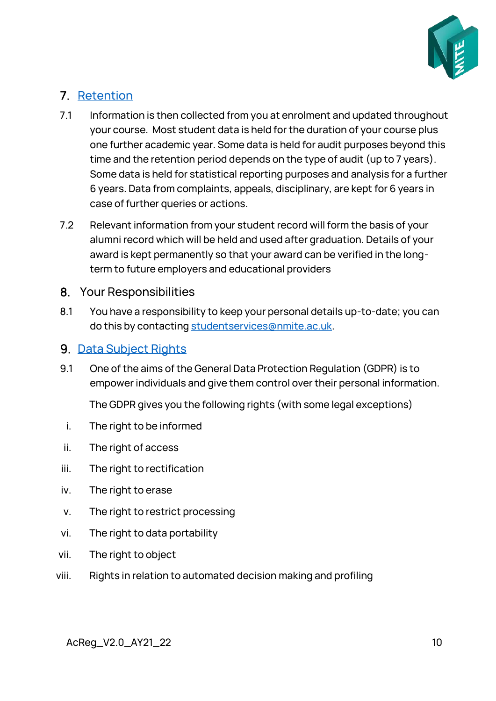

## <span id="page-9-0"></span>7. [Retention](https://www.shu.ac.uk/about-this-website/privacy-policy/privacy-notices/privacy-notice-for-student-applicants)

- 7.1 Information is then collected from you at enrolment and updated throughout your course. Most student data is held for the duration of your course plus one further academic year. Some data is held for audit purposes beyond this time and the retention period depends on the type of audit (up to 7 years). Some data is held for statistical reporting purposes and analysis for a further 6 years. Data from complaints, appeals, disciplinary, are kept for 6 years in case of further queries or actions.
- 7.2 Relevant information from your student record will form the basis of your alumni record which will be held and used after graduation. Details of your award is kept permanently so that your award can be verified in the longterm to future employers and educational providers
- <span id="page-9-1"></span>8. Your Responsibilities
- 8.1 You have a responsibility to keep your personal details up-to-date; you can do this by contacting [studentservices@nmite.ac.uk.](mailto:studentservices@nmite.ac.uk)

#### <span id="page-9-2"></span>9. [Data Subject Rights](https://www.shu.ac.uk/about-this-website/privacy-policy/privacy-notices/privacy-notice-for-student-applicants)

9.1 One of the aims of the General Data Protection Regulation (GDPR) is to empower individuals and give them control over their personal information.

The GDPR gives you the following rights (with some legal exceptions)

- i. The right to be informed
- ii. The right of access
- iii. The right to rectification
- iv. The right to erase
- v. The right to restrict processing
- vi. The right to data portability
- vii. The right to object
- viii. Rights in relation to automated decision making and profiling